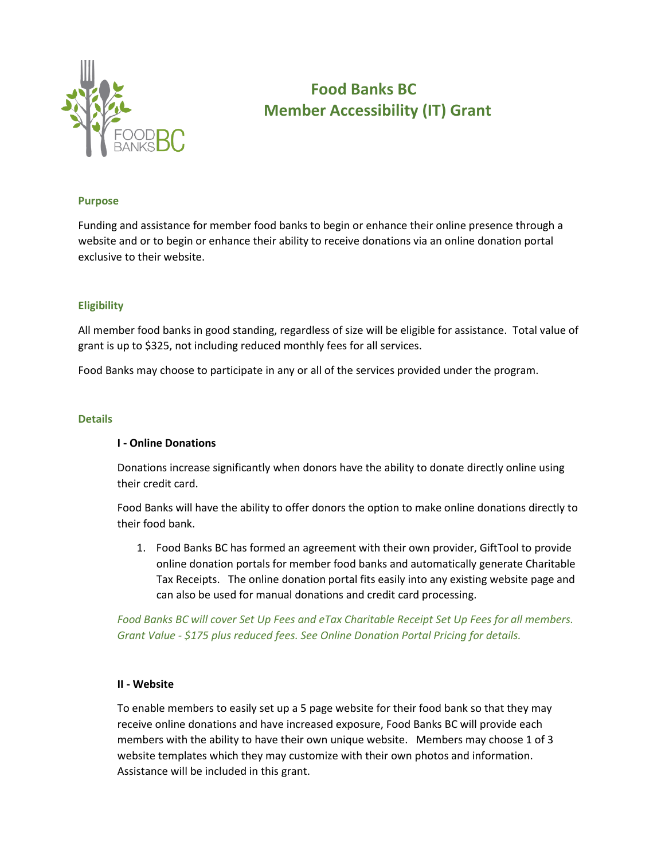

# **Food Banks BC Member Accessibility (IT) Grant**

### **Purpose**

Funding and assistance for member food banks to begin or enhance their online presence through a website and or to begin or enhance their ability to receive donations via an online donation portal exclusive to their website.

### **Eligibility**

All member food banks in good standing, regardless of size will be eligible for assistance. Total value of grant is up to \$325, not including reduced monthly fees for all services.

Food Banks may choose to participate in any or all of the services provided under the program.

### **Details**

### **I - Online Donations**

Donations increase significantly when donors have the ability to donate directly online using their credit card.

Food Banks will have the ability to offer donors the option to make online donations directly to their food bank.

1. Food Banks BC has formed an agreement with their own provider, GiftTool to provide online donation portals for member food banks and automatically generate Charitable Tax Receipts. The online donation portal fits easily into any existing website page and can also be used for manual donations and credit card processing.

*Food Banks BC will cover Set Up Fees and eTax Charitable Receipt Set Up Fees for all members. Grant Value - \$175 plus reduced fees. See Online Donation Portal Pricing for details.*

### **II - Website**

To enable members to easily set up a 5 page website for their food bank so that they may receive online donations and have increased exposure, Food Banks BC will provide each members with the ability to have their own unique website. Members may choose 1 of 3 website templates which they may customize with their own photos and information. Assistance will be included in this grant.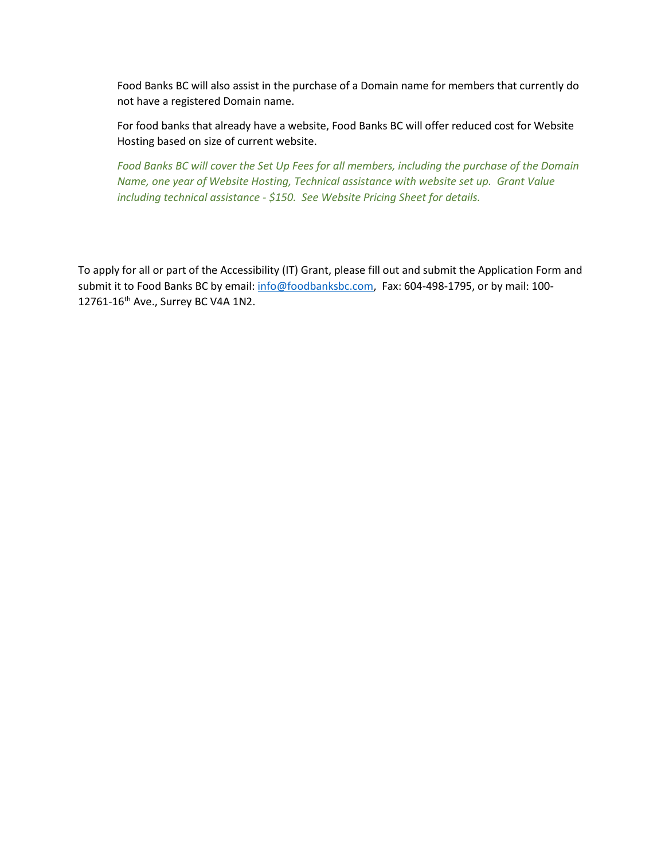Food Banks BC will also assist in the purchase of a Domain name for members that currently do not have a registered Domain name.

For food banks that already have a website, Food Banks BC will offer reduced cost for Website Hosting based on size of current website.

*Food Banks BC will cover the Set Up Fees for all members, including the purchase of the Domain Name, one year of Website Hosting, Technical assistance with website set up. Grant Value including technical assistance - \$150. See Website Pricing Sheet for details.*

To apply for all or part of the Accessibility (IT) Grant, please fill out and submit the Application Form and submit it to Food Banks BC by email: [info@foodbanksbc.com,](mailto:info@foodbanksbc.com) Fax: 604-498-1795, or by mail: 100-12761-16th Ave., Surrey BC V4A 1N2.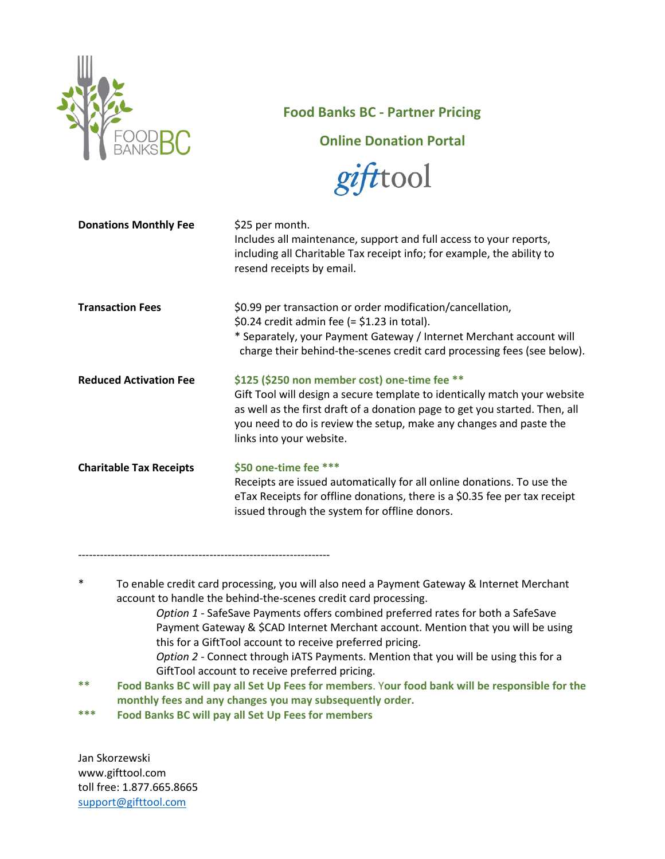

# **Food Banks BC - Partner Pricing**

**Online Donation Portal**



| <b>Donations Monthly Fee</b>   | \$25 per month.<br>Includes all maintenance, support and full access to your reports,<br>including all Charitable Tax receipt info; for example, the ability to<br>resend receipts by email.                                                                                                                |
|--------------------------------|-------------------------------------------------------------------------------------------------------------------------------------------------------------------------------------------------------------------------------------------------------------------------------------------------------------|
| <b>Transaction Fees</b>        | \$0.99 per transaction or order modification/cancellation,<br>$$0.24$ credit admin fee (= $$1.23$ in total).<br>* Separately, your Payment Gateway / Internet Merchant account will<br>charge their behind-the-scenes credit card processing fees (see below).                                              |
| <b>Reduced Activation Fee</b>  | \$125 (\$250 non member cost) one-time fee **<br>Gift Tool will design a secure template to identically match your website<br>as well as the first draft of a donation page to get you started. Then, all<br>you need to do is review the setup, make any changes and paste the<br>links into your website. |
| <b>Charitable Tax Receipts</b> | \$50 one-time fee ***<br>Receipts are issued automatically for all online donations. To use the<br>eTax Receipts for offline donations, there is a \$0.35 fee per tax receipt<br>issued through the system for offline donors.                                                                              |

---------------------------------------------------------------------

- \* To enable credit card processing, you will also need a Payment Gateway & Internet Merchant account to handle the behind-the-scenes credit card processing. *Option 1* - SafeSave Payments offers combined preferred rates for both a SafeSave Payment Gateway & \$CAD Internet Merchant account. Mention that you will be using this for a GiftTool account to receive preferred pricing. *Option 2* - Connect through iATS Payments. Mention that you will be using this for a
	- GiftTool account to receive preferred pricing.
- **\*\* Food Banks BC will pay all Set Up Fees for members**. Y**our food bank will be responsible for the monthly fees and any changes you may subsequently order.**
- **\*\*\* Food Banks BC will pay all Set Up Fees for members**

Jan Skorzewski www.gifttool.com toll free: 1.877.665.8665 [support@gifttool.com](mailto:support@gifttool.com)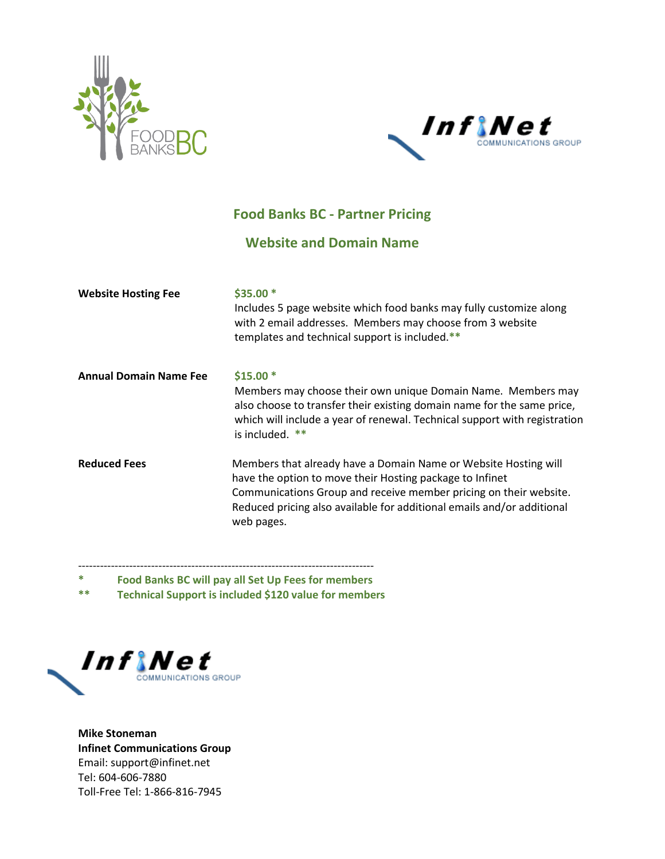



# **Food Banks BC - Partner Pricing**

# **Website and Domain Name**

| <b>Website Hosting Fee</b>    | $$35.00*$<br>Includes 5 page website which food banks may fully customize along<br>with 2 email addresses. Members may choose from 3 website<br>templates and technical support is included.**                                                                                           |
|-------------------------------|------------------------------------------------------------------------------------------------------------------------------------------------------------------------------------------------------------------------------------------------------------------------------------------|
| <b>Annual Domain Name Fee</b> | $$15.00*$<br>Members may choose their own unique Domain Name. Members may<br>also choose to transfer their existing domain name for the same price,<br>which will include a year of renewal. Technical support with registration<br>is included. $**$                                    |
| <b>Reduced Fees</b>           | Members that already have a Domain Name or Website Hosting will<br>have the option to move their Hosting package to Infinet<br>Communications Group and receive member pricing on their website.<br>Reduced pricing also available for additional emails and/or additional<br>web pages. |

---------------------------------------------------------------------------------

**\* Food Banks BC will pay all Set Up Fees for members** 

**\*\* Technical Support is included \$120 value for members**



**Mike Stoneman Infinet Communications Group** Email: support@infinet.net Tel: 604-606-7880 Toll-Free Tel: 1-866-816-7945